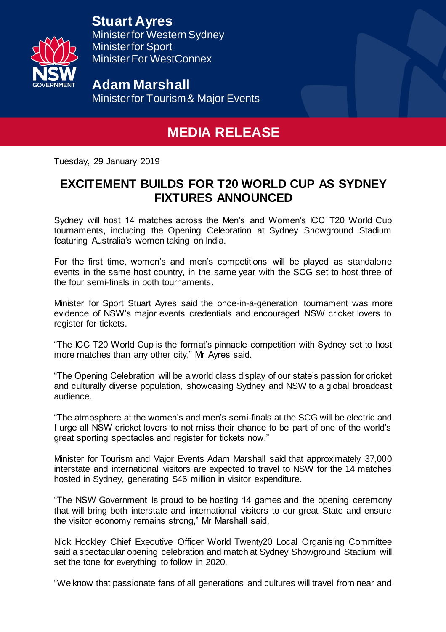**Stuart Ayres**



Minister for Western Sydney Minister for Sport Minister For WestConnex

**Adam Marshall** Minister for Tourism & Major Events

## **MEDIA RELEASE**

Tuesday, 29 January 2019

## **EXCITEMENT BUILDS FOR T20 WORLD CUP AS SYDNEY FIXTURES ANNOUNCED**

Sydney will host 14 matches across the Men's and Women's ICC T20 World Cup tournaments, including the Opening Celebration at Sydney Showground Stadium featuring Australia's women taking on India.

For the first time, women's and men's competitions will be played as standalone events in the same host country, in the same year with the SCG set to host three of the four semi-finals in both tournaments.

Minister for Sport Stuart Ayres said the once-in-a-generation tournament was more evidence of NSW's major events credentials and encouraged NSW cricket lovers to register for tickets.

"The ICC T20 World Cup is the format's pinnacle competition with Sydney set to host more matches than any other city," Mr Ayres said.

"The Opening Celebration will be a world class display of our state's passion for cricket and culturally diverse population, showcasing Sydney and NSW to a global broadcast audience.

"The atmosphere at the women's and men's semi-finals at the SCG will be electric and I urge all NSW cricket lovers to not miss their chance to be part of one of the world's great sporting spectacles and register for tickets now."

Minister for Tourism and Major Events Adam Marshall said that approximately 37,000 interstate and international visitors are expected to travel to NSW for the 14 matches hosted in Sydney, generating \$46 million in visitor expenditure.

"The NSW Government is proud to be hosting 14 games and the opening ceremony that will bring both interstate and international visitors to our great State and ensure the visitor economy remains strong," Mr Marshall said.

Nick Hockley Chief Executive Officer World Twenty20 Local Organising Committee said a spectacular opening celebration and match at Sydney Showground Stadium will set the tone for everything to follow in 2020.

"We know that passionate fans of all generations and cultures will travel from near and